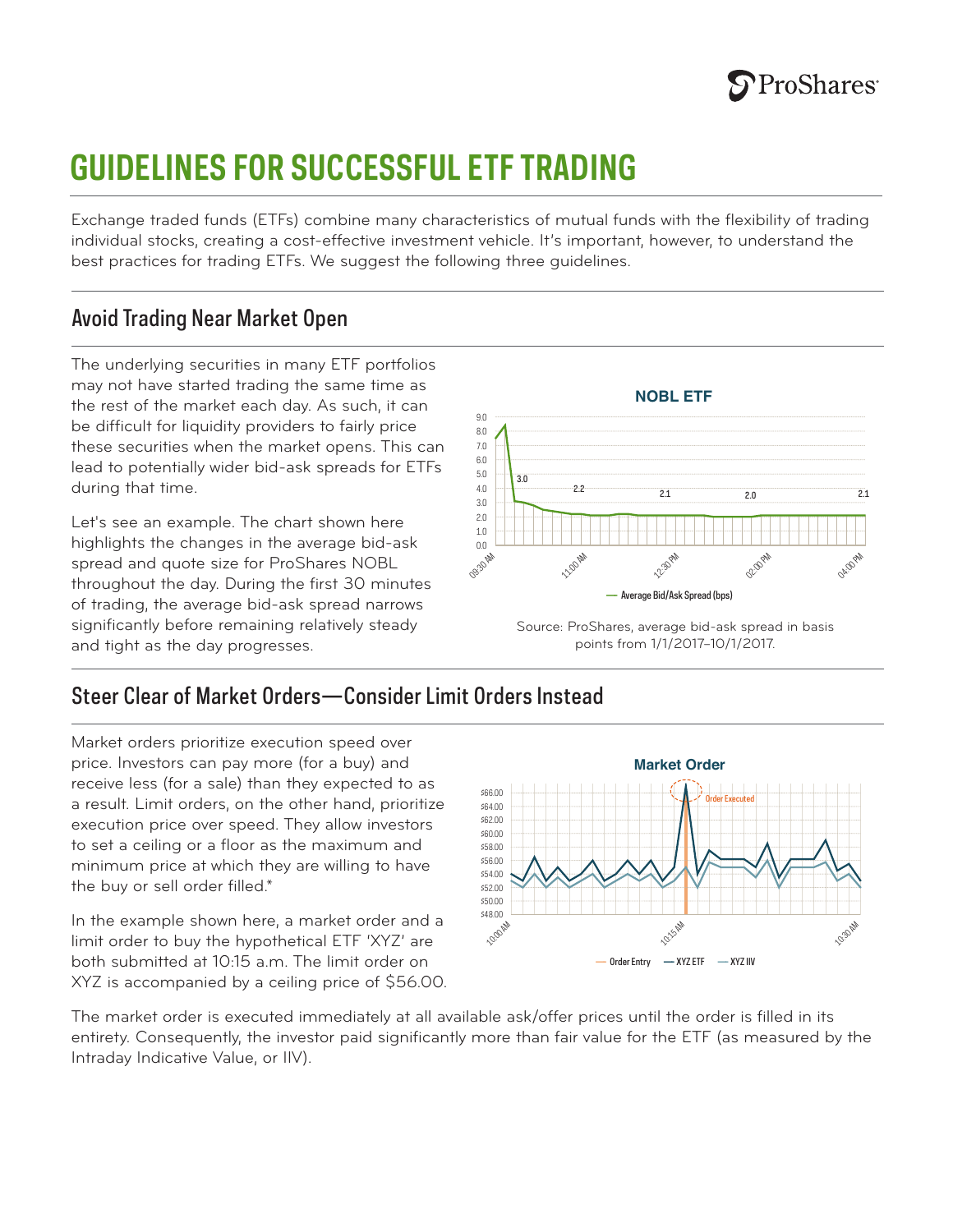# **GUIDELINES FOR SUCCESSFUL ETF TRADING**

Exchange traded funds (ETFs) combine many characteristics of mutual funds with the flexibility of trading individual stocks, creating a cost-effective investment vehicle. It's important, however, to understand the best practices for trading ETFs. We suggest the following three guidelines.

### Avoid Trading Near Market Open

The underlying securities in many ETF portfolios may not have started trading the same time as the rest of the market each day. As such, it can be difficult for liquidity providers to fairly price these securities when the market opens. This can lead to potentially wider bid-ask spreads for ETFs during that time.

Let's see an example. The chart shown here highlights the changes in the average bid-ask spread and quote size for ProShares NOBL throughout the day. During the first 30 minutes of trading, the average bid-ask spread narrows significantly before remaining relatively steady and tight as the day progresses.



Source: ProShares, average bid-ask spread in basis points from 1/1/2017–10/1/2017.

# Steer Clear of Market Orders—Consider Limit Orders Instead

Market orders prioritize execution speed over price. Investors can pay more (for a buy) and receive less (for a sale) than they expected to as a result. Limit orders, on the other hand, prioritize execution price over speed. They allow investors to set a ceiling or a floor as the maximum and minimum price at which they are willing to have the buy or sell order filled.\*

In the example shown here, a market order and a limit order to buy the hypothetical ETF 'XYZ' are both submitted at 10:15 a.m. The limit order on XYZ is accompanied by a ceiling price of \$56.00.



The market order is executed immediately at all available ask/offer prices until the order is filled in its entirety. Consequently, the investor paid significantly more than fair value for the ETF (as measured by the Intraday Indicative Value, or IIV).